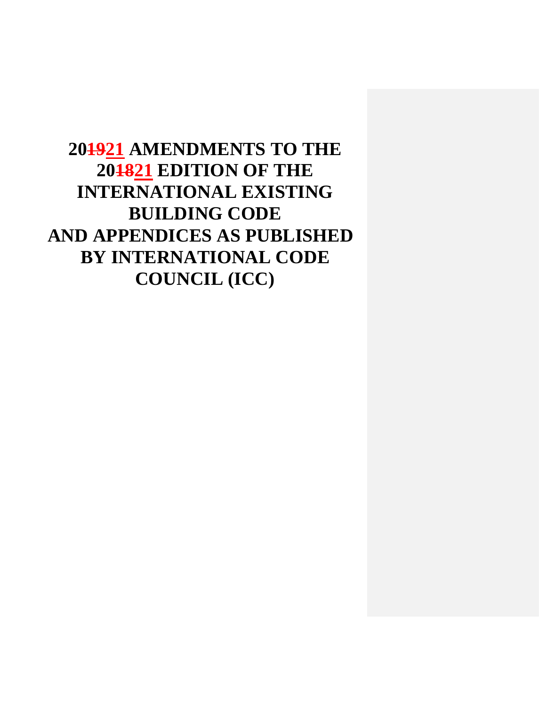**201921 AMENDMENTS TO THE 201821 EDITION OF THE INTERNATIONAL EXISTING BUILDING CODE AND APPENDICES AS PUBLISHED BY INTERNATIONAL CODE COUNCIL (ICC)**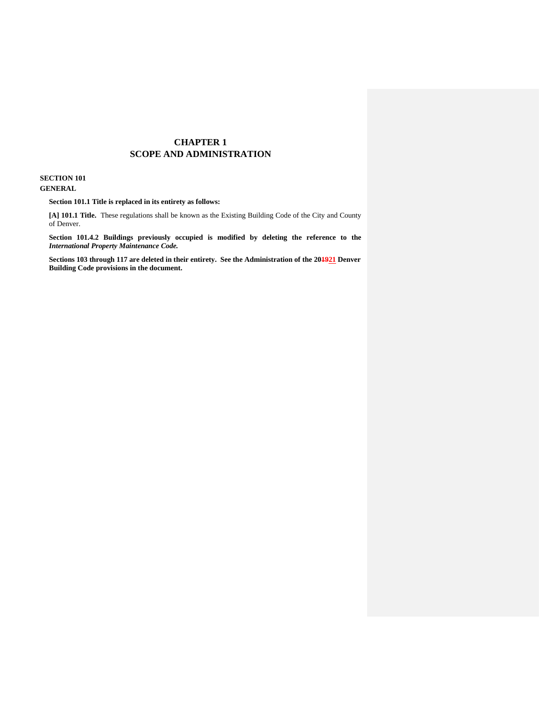### **CHAPTER 1 SCOPE AND ADMINISTRATION**

#### **SECTION 101 GENERAL**

**GENERAL**<br> **Section 101.1 Title is replaced in its entirety as follows:** 

 **[A] 101.1 Title.** These regulations shall be known as the Existing Building Code of the City and County of Denver.

 **Section 101.4.2 Buildings previously occupied is modified by deleting the reference to the**   *International Property Maintenance Code.* 

 **Sections 103 through 117 are deleted in their entirety. See the Administration of the 201921 Denver Building Code provisions in the document.**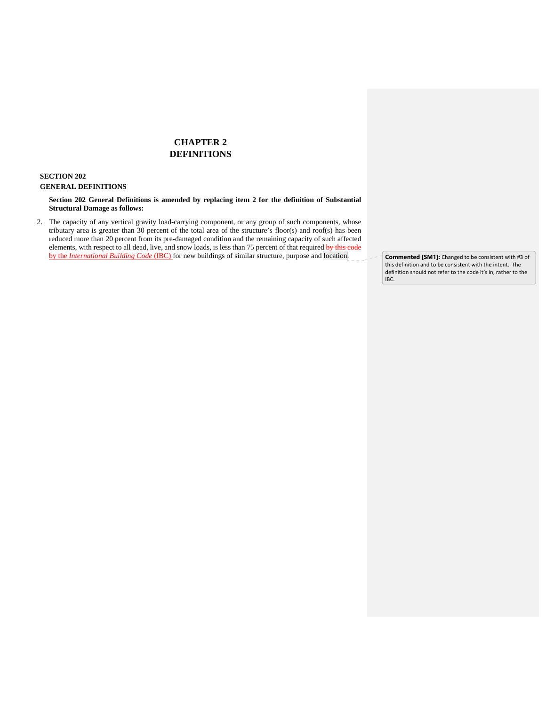# **CHAPTER 2 DEFINITIONS**

#### **SECTION 202**

#### **GENERAL DEFINITIONS**

INERAL DEFINITIONS<br>Section 202 General Definitions is amended by replacing item 2 for the definition of Substantial **Structural Damage as follows:** 

2. The capacity of any vertical gravity load-carrying component, or any group of such components, whose tributary area is greater than 30 percent of the total area of the structure's floor(s) and roof(s) has been reduced more than 20 percent from its pre-damaged condition and the remaining capacity of such affected elements, with respect to all dead, live, and snow loads, is less than 75 percent of that required by this code by the *International Building Code* (IBC) for new buildings of similar structure, purpose and location.

 this definition and to be consistent with the intent. The definition should not refer to the code it's in, rather to the IBC. **Commented [SM1]:** Changed to be consistent with #3 of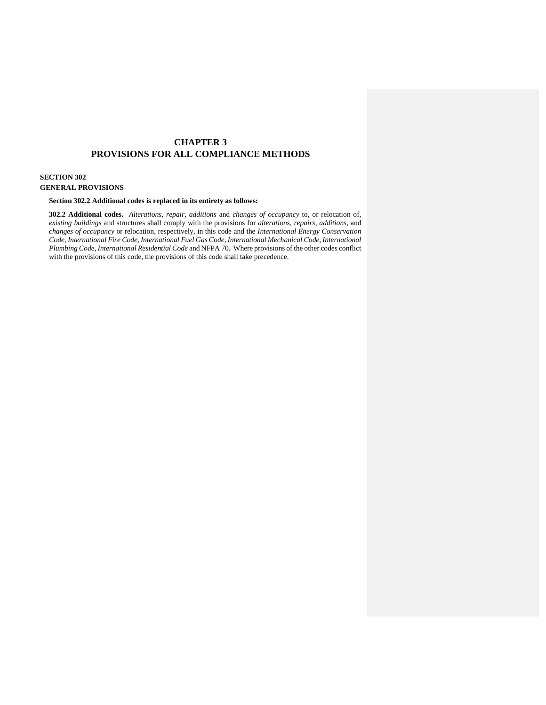## **CHAPTER 3 PROVISIONS FOR ALL COMPLIANCE METHODS**

#### **SECTION 302**

### **GENERAL PROVISIONS**

#### **Section 302.2 Additional codes is replaced in its entirety as follows:**

 **302.2 Additional codes.** *Alterations, repair, additions* and *changes of occupancy* to, or relocation of, *existing buildings* and structures shall comply with the provisions for *alterations, repairs, additions,* and  *changes of occupancy* or relocation, respectively, in this code and the *International Energy Conservation Code, International Fire Code, International Fuel Gas Code, International Mechanical Code, International Plumbing Code, International Residential Code* and NFPA 70. Where provisions of the other codes conflict with the provisions of this code, the provisions of this code shall take precedence.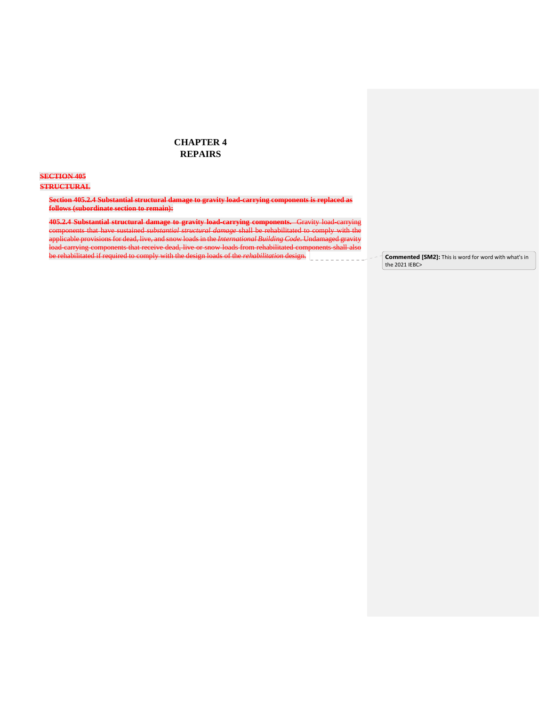### **CHAPTER 4 REPAIRS**

#### **SECTION 405**

#### **STRUCTURAL**

 **Section 405.2.4 Substantial structural damage to gravity load-carrying components is replaced as follows (subordinate section to remain):** 

 **405.2.4 Substantial structural damage to gravity load-carrying components.** Gravity load-carrying components that have sustained *substantial structural damage* shall be rehabilitated to comply with the applicable provisions for dead, live, and snow loads in the *International Building Code*. Undamaged gravity  $\overline{a}$  $\overline{a}$ load-carrying components that receive dead, live or snow loads from rehabilitated components shall also be rehabilitated if required to comply with the design loads of the *rehabilitation* design. **Commented [SM2]:** This is word for word with what's in

the 2021 IEBC>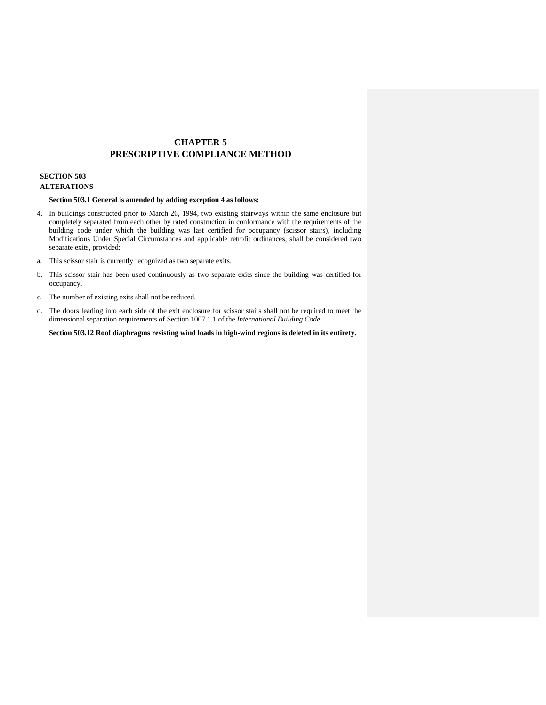# **CHAPTER 5 PRESCRIPTIVE COMPLIANCE METHOD**

# **SECTION 503**

## **ALTERATIONS**

#### **Section 503.1 General is amended by adding exception 4 as follows:**

- 4. In buildings constructed prior to March 26, 1994, two existing stairways within the same enclosure but completely separated from each other by rated construction in conformance with the requirements of the building code under which the building was last certified for occupancy (scissor stairs), including Modifications Under Special Circumstances and applicable retrofit ordinances, shall be considered two separate exits, provided:
- a. This scissor stair is currently recognized as two separate exits.
- b. This scissor stair has been used continuously as two separate exits since the building was certified for occupancy.
- c. The number of existing exits shall not be reduced.
- d. The doors leading into each side of the exit enclosure for scissor stairs shall not be required to meet the dimensional separation requirements of Section 1007.1.1 of the *International Building Code*.

 **Section 503.12 Roof diaphragms resisting wind loads in high-wind regions is deleted in its entirety.**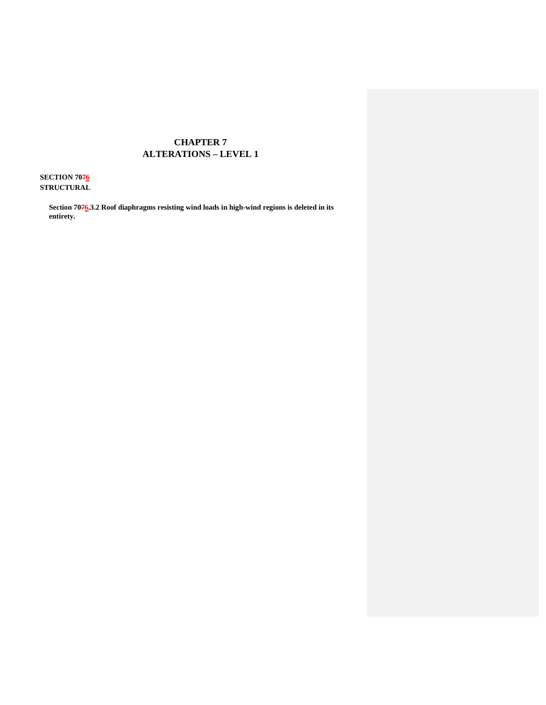# **CHAPTER 7 ALTERATIONS – LEVEL 1**

**SECTION 7076 STRUCTURAL** 

> Section 7076.3.2 Roof diaphragms resisting wind loads in high-wind regions is deleted in its **entirety.**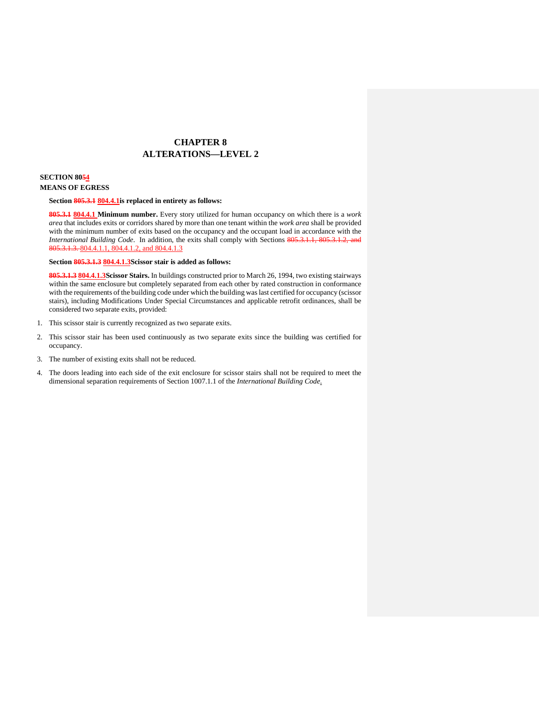# **CHAPTER 8 ALTERATIONS—LEVEL 2**

# **SECTION 8054**

#### **MEANS OF EGRESS**

#### **Section 805.3.1 804.4.1is replaced in entirety as follows:**

 **805.3.1 804.4.1 Minimum number.** Every story utilized for human occupancy on which there is a *work area* that includes exits or corridors shared by more than one tenant within the *work area* shall be provided with the minimum number of exits based on the occupancy and the occupant load in accordance with the *International Building Code*. In addition, the exits shall comply with Sections 805.3.1.1, 805.3.1.2, and 805.3.1.3. 804.4.1.1, 804.4.1.2, and 804.4.1.3

 **Section 805.3.1.3 804.4.1.3Scissor stair is added as follows:** 

 **805.3.1.3 804.4.1.3Scissor Stairs.** In buildings constructed prior to March 26, 1994, two existing stairways within the same enclosure but completely separated from each other by rated construction in conformance with the requirements of the building code under which the building was last certified for occupancy (scissor stairs), including Modifications Under Special Circumstances and applicable retrofit ordinances, shall be considered two separate exits, provided:

- 1. This scissor stair is currently recognized as two separate exits.
- 2. This scissor stair has been used continuously as two separate exits since the building was certified for occupancy.
- 3. The number of existing exits shall not be reduced.
- 4. The doors leading into each side of the exit enclosure for scissor stairs shall not be required to meet the dimensional separation requirements of Section 1007.1.1 of the *International Building Code*.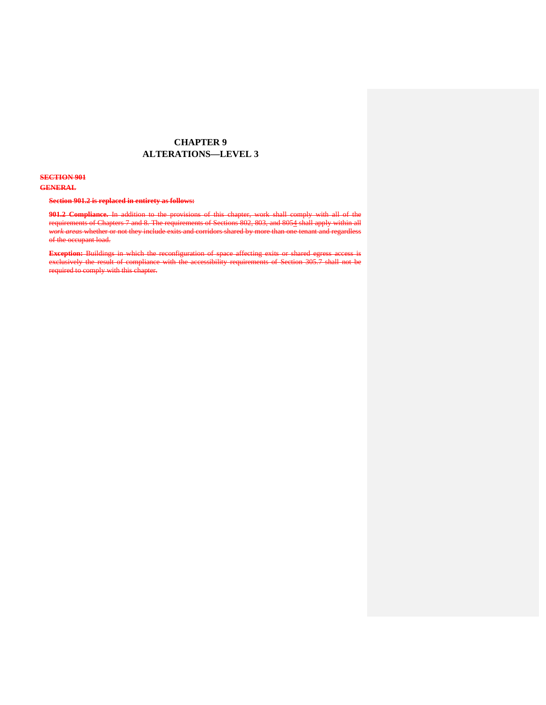## **CHAPTER 9 ALTERATIONS—LEVEL 3**

#### **SECTION 901**

### **GENERAL**

#### **Section 901.2 is replaced in entirety as follows:**

l,  $\ddot{ }$ l, of the occupant load. **901.2 Compliance.** In addition to the provisions of this chapter, work shall comply with all of the requirements of Chapters 7 and 8. The requirements of Sections 802, 803, and 8054 shall apply within all *work areas* whether or not they include exits and corridors shared by more than one tenant and regardless

 $\overline{a}$ i, required to comply with this chapter. **Exception:** Buildings in which the reconfiguration of space affecting exits or shared egress access is exclusively the result of compliance with the accessibility requirements of Section 305.7 shall not be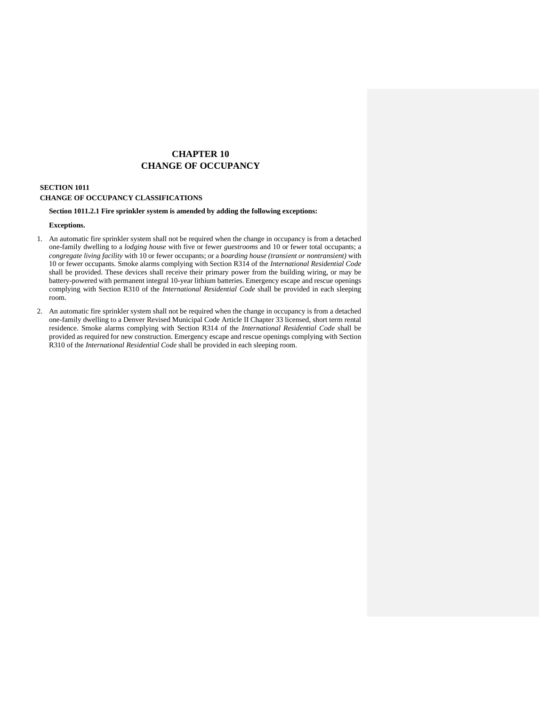# **CHAPTER 10 CHANGE OF OCCUPANCY**

#### **SECTION 1011 CHANGE OF OCCUPANCY CLASSIFICATIONS**

#### **Section 1011.2.1 Fire sprinkler system is amended by adding the following exceptions:**

#### **Exceptions.**

- 1. An automatic fire sprinkler system shall not be required when the change in occupancy is from a detached one-family dwelling to a *lodging house* with five or fewer *guestrooms* and 10 or fewer total occupants; a  *congregate living facility* with 10 or fewer occupants; or a *boarding house (transient or nontransient)* with 10 or fewer occupants. Smoke alarms complying with Section R314 of the *International Residential Code*  shall be provided. These devices shall receive their primary power from the building wiring, or may be battery-powered with permanent integral 10-year lithium batteries. Emergency escape and rescue openings complying with Section R310 of the *International Residential Code* shall be provided in each sleeping room.
- 2. An automatic fire sprinkler system shall not be required when the change in occupancy is from a detached one-family dwelling to a Denver Revised Municipal Code Article II Chapter 33 licensed, short term rental residence. Smoke alarms complying with Section R314 of the *International Residential Code* shall be provided as required for new construction. Emergency escape and rescue openings complying with Section R310 of the *International Residential Code* shall be provided in each sleeping room.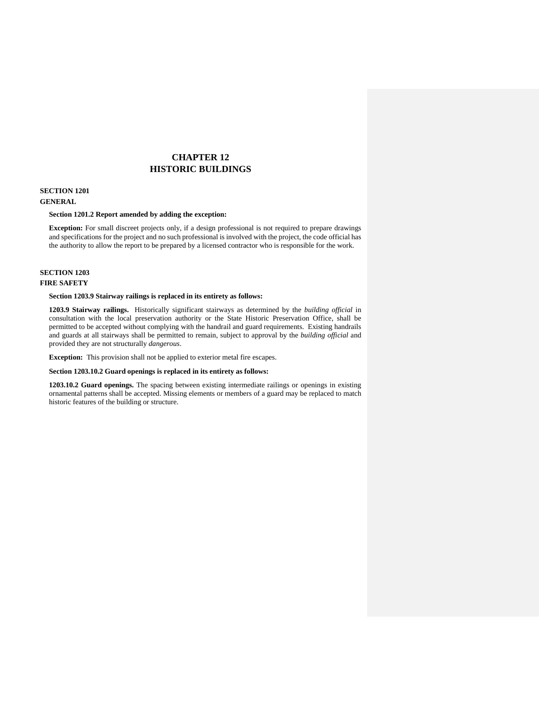# **CHAPTER 12 HISTORIC BUILDINGS**

# **SECTION 1201**

# **GENERAL**

#### **Section 1201.2 Report amended by adding the exception:**

 **Exception:** For small discreet projects only, if a design professional is not required to prepare drawings and specifications for the project and no such professional is involved with the project, the code official has the authority to allow the report to be prepared by a licensed contractor who is responsible for the work.

#### **SECTION 1203 FIRE SAFETY**

#### **Section 1203.9 Stairway railings is replaced in its entirety as follows:**

 **1203.9 Stairway railings.** Historically significant stairways as determined by the *building official* in consultation with the local preservation authority or the State Historic Preservation Office, shall be permitted to be accepted without complying with the handrail and guard requirements. Existing handrails and guards at all stairways shall be permitted to remain, subject to approval by the *building official* and provided they are not structurally *dangerous*.

**Exception:** This provision shall not be applied to exterior metal fire escapes.

#### **Section 1203.10.2 Guard openings is replaced in its entirety as follows:**

 **1203.10.2 Guard openings.** The spacing between existing intermediate railings or openings in existing ornamental patterns shall be accepted. Missing elements or members of a guard may be replaced to match historic features of the building or structure.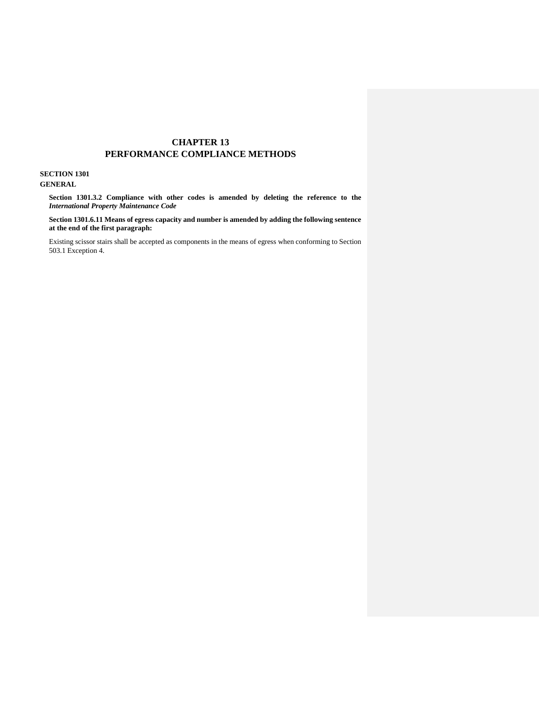### **CHAPTER 13 PERFORMANCE COMPLIANCE METHODS**

#### **SECTION 1301 GENERAL**

 **Section 1301.3.2 Compliance with other codes is amended by deleting the reference to the**  *International Property Maintenance Code* 

 **Section [1301.6.11](https://1301.6.11) Means of egress capacity and number is amended by adding the following sentence at the end of the first paragraph:** 

 Existing scissor stairs shall be accepted as components in the means of egress when conforming to Section 503.1 Exception 4.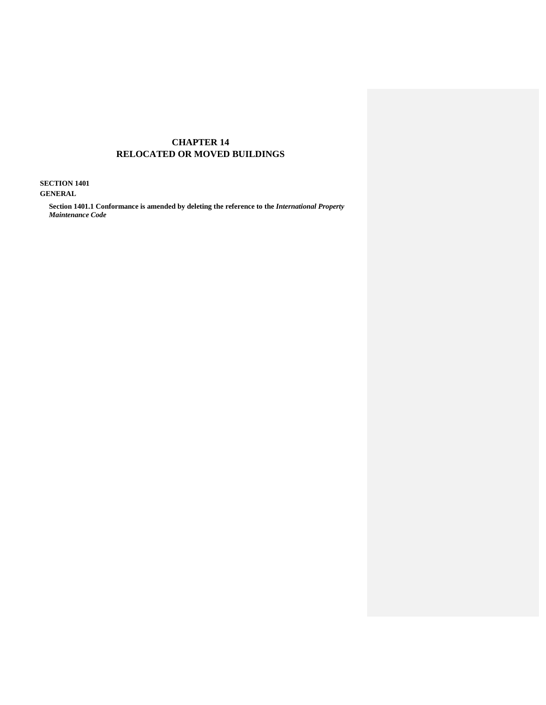## **CHAPTER 14 RELOCATED OR MOVED BUILDINGS**

 **SECTION 1401** 

**GENERAL** 

 **Section 1401.1 Conformance is amended by deleting the reference to the** *International Property Maintenance Code*